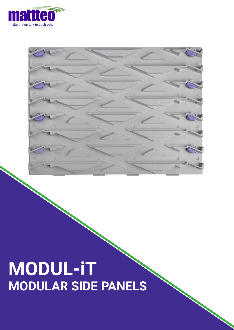

## **MODUL-iT MODULAR SIDE PANELS**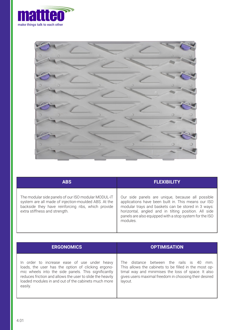



| <b>ABS</b>                                                                                                                                                                                         | <b>FLEXIBILITY</b>                                                                                                                                                                                                                                                                           |
|----------------------------------------------------------------------------------------------------------------------------------------------------------------------------------------------------|----------------------------------------------------------------------------------------------------------------------------------------------------------------------------------------------------------------------------------------------------------------------------------------------|
| The modular side panels of our ISO modular MODUL-iT<br>system are all made of injection-moulded ABS. At the<br>backside they have reinforcing ribs, which provide<br>extra stiffness and strength. | Our side panels are unique, because all possible<br>applications have been built in. This means our ISO<br>modular trays and baskets can be stored in 3 ways:<br>horizontal, angled and in tilting position. All side<br>panels are also equipped with a stop system for the ISO<br>modules. |

| <b>ERGONOMICS</b>                                         | <b>OPTIMISATION</b>                                   |
|-----------------------------------------------------------|-------------------------------------------------------|
| In order to increase ease of use under heavy              | The distance between the rails is 40                  |
| loads, the user has the option of clicking ergono-        | mm.                                                   |
| mic wheels into the side panels. This significantly       | This allows the cabinets to be filled in the most op- |
| reduces friction and allows the user to slide the heavily | timal way and minimises the loss of space. It also    |
| loaded modules in and out of the cabinets much more       | gives users maximal freedom in choosing their desired |
| easily.                                                   | layout.                                               |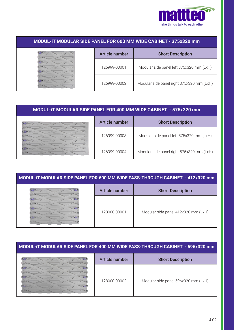

| MODUL-IT MODULAR SIDE PANEL FOR 600 MM WIDE CABINET - 375x320 mm |                |                                           |
|------------------------------------------------------------------|----------------|-------------------------------------------|
|                                                                  | Article number | <b>Short Description</b>                  |
|                                                                  | 126999-00001   | Modular side panel left 375x320 mm (LxH)  |
|                                                                  | 126999-00002   | Modular side panel right 375x320 mm (LxH) |

## **MODUL-iT MODULAR SIDE PANEL FOR 400 MM WIDE CABINET - 575x320 mm**

| Article number | <b>Short Description</b>                  |
|----------------|-------------------------------------------|
| 126999-00003   | Modular side panel left 575x320 mm (LxH)  |
| 126999-00004   | Modular side panel right 575x320 mm (LxH) |

| MODUL-IT MODULAR SIDE PANEL FOR 600 MM WIDE PASS-THROUGH CABINET - 412x320 mm |                       |                                     |
|-------------------------------------------------------------------------------|-----------------------|-------------------------------------|
|                                                                               | <b>Article number</b> | <b>Short Description</b>            |
|                                                                               | 128000-00001          | Modular side panel 412x320 mm (LxH) |

## **MODUL-iT MODULAR SIDE PANEL FOR 400 MM WIDE PASS-THROUGH CABINET - 596x320 mm**

| <b>Article number</b> | <b>Short Description</b>            |
|-----------------------|-------------------------------------|
| 128000-00002          | Modular side panel 596x320 mm (LxH) |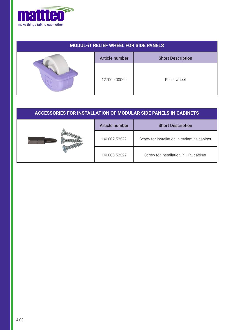

| <b>MODUL-IT RELIEF WHEEL FOR SIDE PANELS</b> |                       |                          |
|----------------------------------------------|-----------------------|--------------------------|
|                                              | <b>Article number</b> | <b>Short Description</b> |
|                                              | 127000-00000          | Relief wheel             |

| <b>ACCESSORIES FOR INSTALLATION OF MODULAR SIDE PANELS IN CABINETS</b> |                |                                            |
|------------------------------------------------------------------------|----------------|--------------------------------------------|
|                                                                        | Article number | <b>Short Description</b>                   |
|                                                                        | 140002-52529   | Screw for installation in melamine cabinet |
|                                                                        | 140003-52529   | Screw for installation in HPL cabinet      |